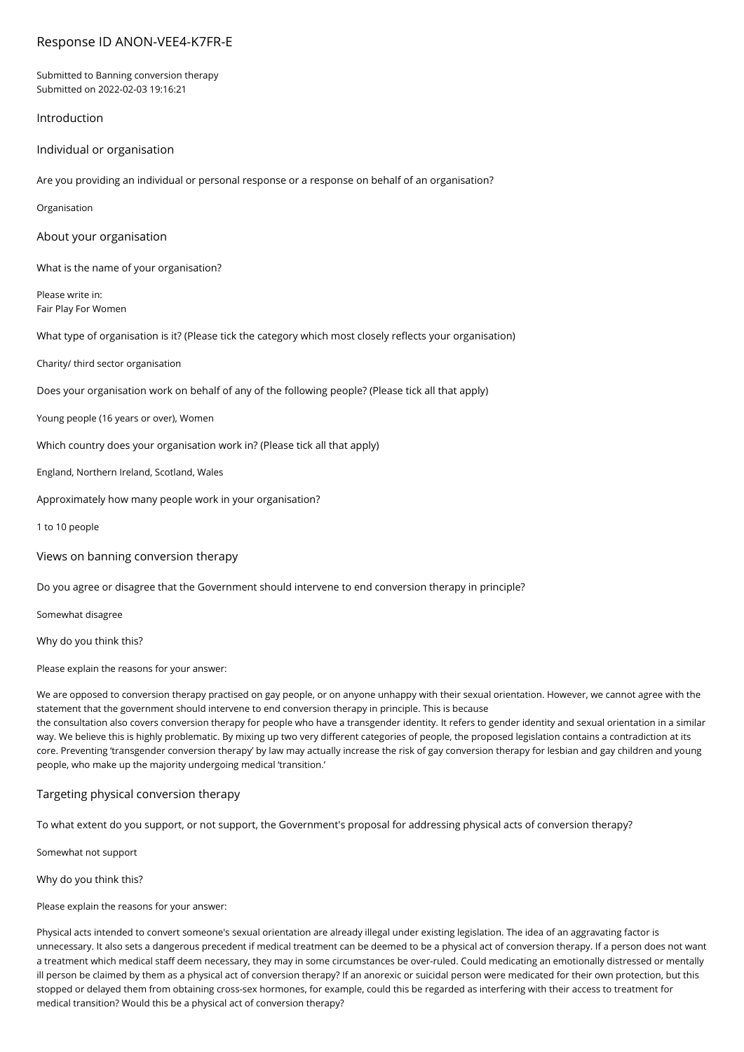# Response ID ANON-VEE4-K7FR-E

Submitted to Banning conversion therapy Submitted on 2022-02-03 19:16:21

### Introduction

Individual or organisation

Are you providing an individual or personal response or a response on behalf of an organisation?

Organisation

About your organisation

What is the name of your organisation?

Please write in: Fair Play For Women

What type of organisation is it? (Please tick the category which most closely reflects your organisation)

Charity/ third sector organisation

Does your organisation work on behalf of any of the following people? (Please tick all that apply)

Young people (16 years or over), Women

Which country does your organisation work in? (Please tick all that apply)

England, Northern Ireland, Scotland, Wales

Approximately how many people work in your organisation?

1 to 10 people

Views on banning conversion therapy

Do you agree or disagree that the Government should intervene to end conversion therapy in principle?

Somewhat disagree

Why do you think this?

Please explain the reasons for your answer:

We are opposed to conversion therapy practised on gay people, or on anyone unhappy with their sexual orientation. However, we cannot agree with the statement that the government should intervene to end conversion therapy in principle. This is because the consultation also covers conversion therapy for people who have a transgender identity. It refers to gender identity and sexual orientation in a similar way. We believe this is highly problematic. By mixing up two very different categories of people, the proposed legislation contains a contradiction at its

core. Preventing 'transgender conversion therapy' by law may actually increase the risk of gay conversion therapy for lesbian and gay children and young people, who make up the majority undergoing medical 'transition.'

#### Targeting physical conversion therapy

To what extent do you support, or not support, the Government's proposal for addressing physical acts of conversion therapy?

Somewhat not support

Why do you think this?

Please explain the reasons for your answer:

Physical acts intended to convert someone's sexual orientation are already illegal under existing legislation. The idea of an aggravating factor is unnecessary. It also sets a dangerous precedent if medical treatment can be deemed to be a physical act of conversion therapy. If a person does not want a treatment which medical staff deem necessary, they may in some circumstances be over-ruled. Could medicating an emotionally distressed or mentally ill person be claimed by them as a physical act of conversion therapy? If an anorexic or suicidal person were medicated for their own protection, but this stopped or delayed them from obtaining cross-sex hormones, for example, could this be regarded as interfering with their access to treatment for medical transition? Would this be a physical act of conversion therapy?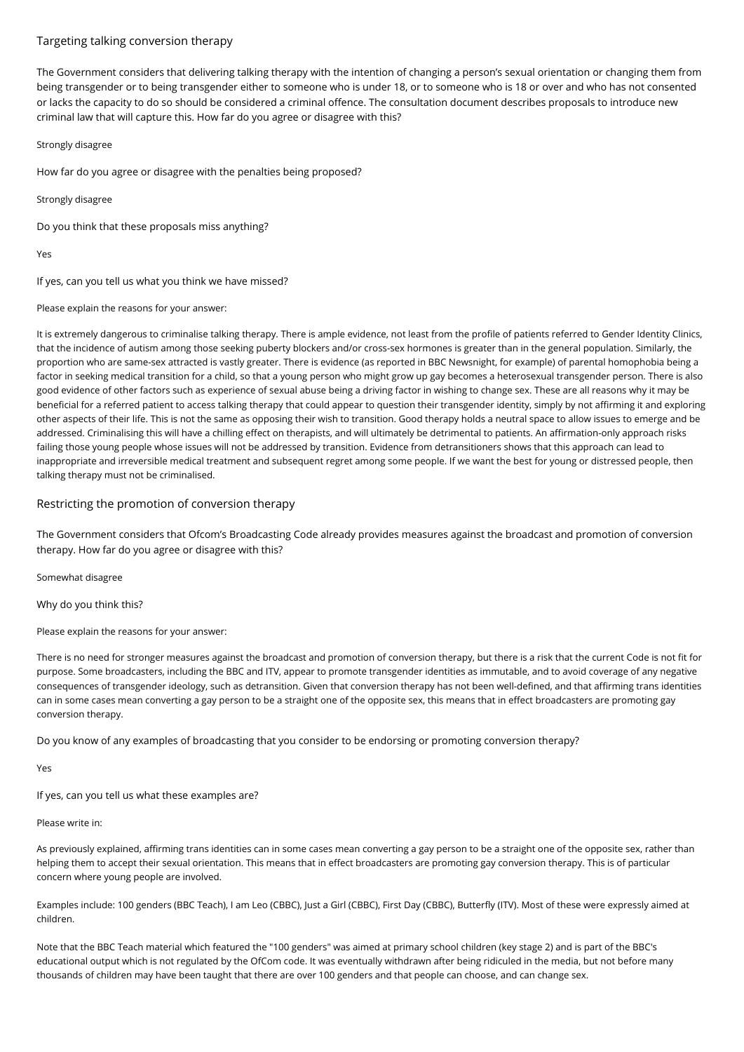## Targeting talking conversion therapy

The Government considers that delivering talking therapy with the intention of changing a person's sexual orientation or changing them from being transgender or to being transgender either to someone who is under 18, or to someone who is 18 or over and who has not consented or lacks the capacity to do so should be considered a criminal offence. The consultation document describes proposals to introduce new criminal law that will capture this. How far do you agree or disagree with this?

Strongly disagree

How far do you agree or disagree with the penalties being proposed?

Strongly disagree

Do you think that these proposals miss anything?

Yes

If yes, can you tell us what you think we have missed?

Please explain the reasons for your answer:

It is extremely dangerous to criminalise talking therapy. There is ample evidence, not least from the profile of patients referred to Gender Identity Clinics, that the incidence of autism among those seeking puberty blockers and/or cross-sex hormones is greater than in the general population. Similarly, the proportion who are same-sex attracted is vastly greater. There is evidence (as reported in BBC Newsnight, for example) of parental homophobia being a factor in seeking medical transition for a child, so that a young person who might grow up gay becomes a heterosexual transgender person. There is also good evidence of other factors such as experience of sexual abuse being a driving factor in wishing to change sex. These are all reasons why it may be beneficial for a referred patient to access talking therapy that could appear to question their transgender identity, simply by not affirming it and exploring other aspects of their life. This is not the same as opposing their wish to transition. Good therapy holds a neutral space to allow issues to emerge and be addressed. Criminalising this will have a chilling effect on therapists, and will ultimately be detrimental to patients. An affirmation-only approach risks failing those young people whose issues will not be addressed by transition. Evidence from detransitioners shows that this approach can lead to inappropriate and irreversible medical treatment and subsequent regret among some people. If we want the best for young or distressed people, then talking therapy must not be criminalised.

## Restricting the promotion of conversion therapy

The Government considers that Ofcom's Broadcasting Code already provides measures against the broadcast and promotion of conversion therapy. How far do you agree or disagree with this?

Somewhat disagree

Why do you think this?

Please explain the reasons for your answer:

There is no need for stronger measures against the broadcast and promotion of conversion therapy, but there is a risk that the current Code is not fit for purpose. Some broadcasters, including the BBC and ITV, appear to promote transgender identities as immutable, and to avoid coverage of any negative consequences of transgender ideology, such as detransition. Given that conversion therapy has not been well-defined, and that affirming trans identities can in some cases mean converting a gay person to be a straight one of the opposite sex, this means that in effect broadcasters are promoting gay conversion therapy.

Do you know of any examples of broadcasting that you consider to be endorsing or promoting conversion therapy?

Yes

If yes, can you tell us what these examples are?

#### Please write in:

As previously explained, affirming trans identities can in some cases mean converting a gay person to be a straight one of the opposite sex, rather than helping them to accept their sexual orientation. This means that in effect broadcasters are promoting gay conversion therapy. This is of particular concern where young people are involved.

Examples include: 100 genders (BBC Teach), I am Leo (CBBC), Just a Girl (CBBC), First Day (CBBC), Butterfly (ITV). Most of these were expressly aimed at children.

Note that the BBC Teach material which featured the "100 genders" was aimed at primary school children (key stage 2) and is part of the BBC's educational output which is not regulated by the OfCom code. It was eventually withdrawn after being ridiculed in the media, but not before many thousands of children may have been taught that there are over 100 genders and that people can choose, and can change sex.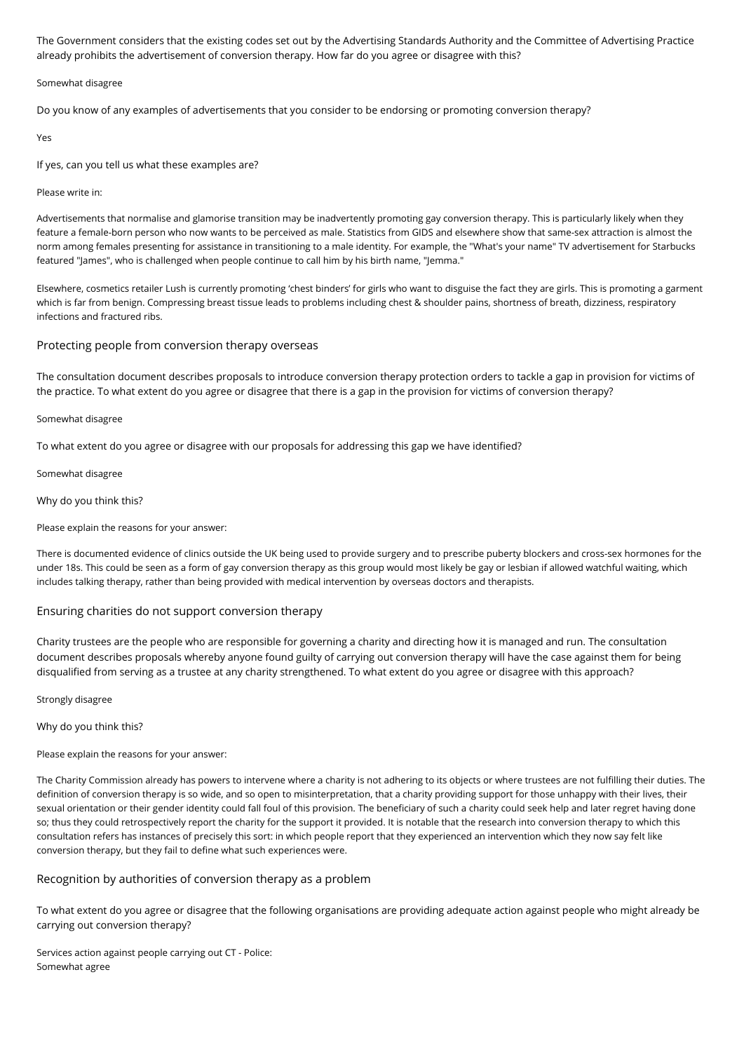The Government considers that the existing codes set out by the Advertising Standards Authority and the Committee of Advertising Practice already prohibits the advertisement of conversion therapy. How far do you agree or disagree with this?

Somewhat disagree

Do you know of any examples of advertisements that you consider to be endorsing or promoting conversion therapy?

Yes

If yes, can you tell us what these examples are?

Please write in:

Advertisements that normalise and glamorise transition may be inadvertently promoting gay conversion therapy. This is particularly likely when they feature a female-born person who now wants to be perceived as male. Statistics from GIDS and elsewhere show that same-sex attraction is almost the norm among females presenting for assistance in transitioning to a male identity. For example, the "What's your name" TV advertisement for Starbucks featured "James", who is challenged when people continue to call him by his birth name, "Jemma."

Elsewhere, cosmetics retailer Lush is currently promoting 'chest binders' for girls who want to disguise the fact they are girls. This is promoting a garment which is far from benign. Compressing breast tissue leads to problems including chest & shoulder pains, shortness of breath, dizziness, respiratory infections and fractured ribs.

#### Protecting people from conversion therapy overseas

The consultation document describes proposals to introduce conversion therapy protection orders to tackle a gap in provision for victims of the practice. To what extent do you agree or disagree that there is a gap in the provision for victims of conversion therapy?

Somewhat disagree

To what extent do you agree or disagree with our proposals for addressing this gap we have identified?

Somewhat disagree

Why do you think this?

Please explain the reasons for your answer:

There is documented evidence of clinics outside the UK being used to provide surgery and to prescribe puberty blockers and cross-sex hormones for the under 18s. This could be seen as a form of gay conversion therapy as this group would most likely be gay or lesbian if allowed watchful waiting, which includes talking therapy, rather than being provided with medical intervention by overseas doctors and therapists.

Ensuring charities do not support conversion therapy

Charity trustees are the people who are responsible for governing a charity and directing how it is managed and run. The consultation document describes proposals whereby anyone found guilty of carrying out conversion therapy will have the case against them for being disqualified from serving as a trustee at any charity strengthened. To what extent do you agree or disagree with this approach?

Strongly disagree

Why do you think this?

Please explain the reasons for your answer:

The Charity Commission already has powers to intervene where a charity is not adhering to its objects or where trustees are not fulfilling their duties. The definition of conversion therapy is so wide, and so open to misinterpretation, that a charity providing support for those unhappy with their lives, their sexual orientation or their gender identity could fall foul of this provision. The beneficiary of such a charity could seek help and later regret having done so; thus they could retrospectively report the charity for the support it provided. It is notable that the research into conversion therapy to which this consultation refers has instances of precisely this sort: in which people report that they experienced an intervention which they now say felt like conversion therapy, but they fail to define what such experiences were.

### Recognition by authorities of conversion therapy as a problem

To what extent do you agree or disagree that the following organisations are providing adequate action against people who might already be carrying out conversion therapy?

Services action against people carrying out CT - Police: Somewhat agree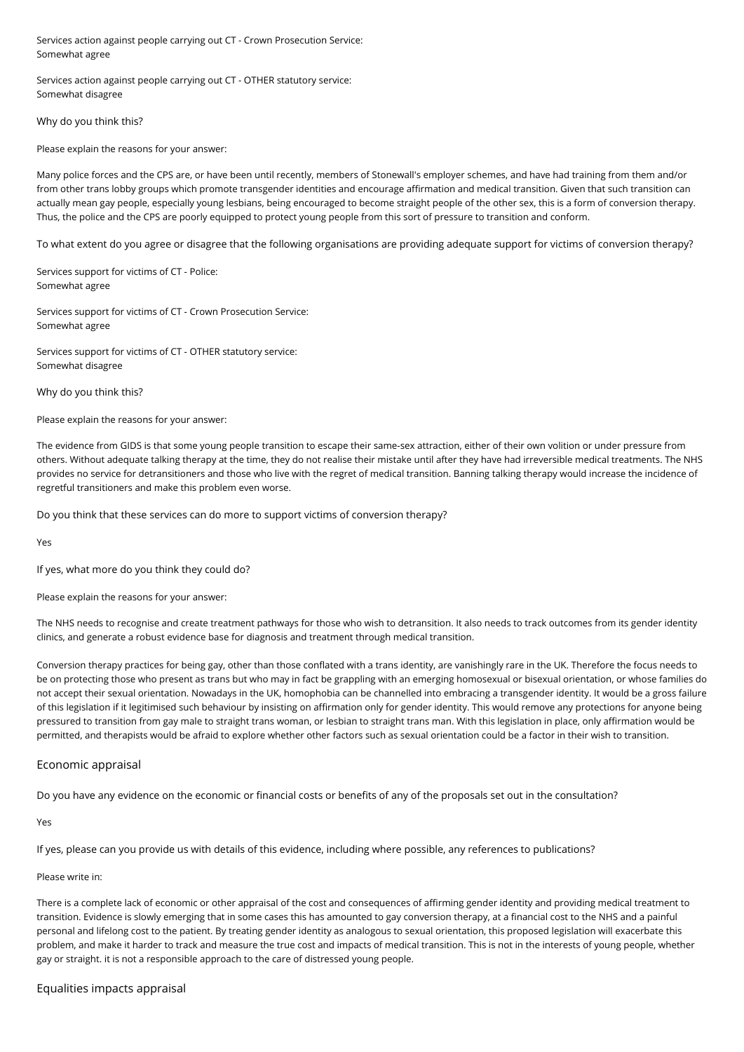Services action against people carrying out CT - Crown Prosecution Service: Somewhat agree

Services action against people carrying out CT - OTHER statutory service: Somewhat disagree

#### Why do you think this?

Please explain the reasons for your answer:

Many police forces and the CPS are, or have been until recently, members of Stonewall's employer schemes, and have had training from them and/or from other trans lobby groups which promote transgender identities and encourage affirmation and medical transition. Given that such transition can actually mean gay people, especially young lesbians, being encouraged to become straight people of the other sex, this is a form of conversion therapy. Thus, the police and the CPS are poorly equipped to protect young people from this sort of pressure to transition and conform.

To what extent do you agree or disagree that the following organisations are providing adequate support for victims of conversion therapy?

Services support for victims of CT - Police: Somewhat agree

Services support for victims of CT - Crown Prosecution Service: Somewhat agree

Services support for victims of CT - OTHER statutory service: Somewhat disagree

Why do you think this?

Please explain the reasons for your answer:

The evidence from GIDS is that some young people transition to escape their same-sex attraction, either of their own volition or under pressure from others. Without adequate talking therapy at the time, they do not realise their mistake until after they have had irreversible medical treatments. The NHS provides no service for detransitioners and those who live with the regret of medical transition. Banning talking therapy would increase the incidence of regretful transitioners and make this problem even worse.

Do you think that these services can do more to support victims of conversion therapy?

Yes

If yes, what more do you think they could do?

Please explain the reasons for your answer:

The NHS needs to recognise and create treatment pathways for those who wish to detransition. It also needs to track outcomes from its gender identity clinics, and generate a robust evidence base for diagnosis and treatment through medical transition.

Conversion therapy practices for being gay, other than those conflated with a trans identity, are vanishingly rare in the UK. Therefore the focus needs to be on protecting those who present as trans but who may in fact be grappling with an emerging homosexual or bisexual orientation, or whose families do not accept their sexual orientation. Nowadays in the UK, homophobia can be channelled into embracing a transgender identity. It would be a gross failure of this legislation if it legitimised such behaviour by insisting on affirmation only for gender identity. This would remove any protections for anyone being pressured to transition from gay male to straight trans woman, or lesbian to straight trans man. With this legislation in place, only affirmation would be permitted, and therapists would be afraid to explore whether other factors such as sexual orientation could be a factor in their wish to transition.

#### Economic appraisal

Do you have any evidence on the economic or financial costs or benefits of any of the proposals set out in the consultation?

Yes

If yes, please can you provide us with details of this evidence, including where possible, any references to publications?

Please write in:

There is a complete lack of economic or other appraisal of the cost and consequences of affirming gender identity and providing medical treatment to transition. Evidence is slowly emerging that in some cases this has amounted to gay conversion therapy, at a financial cost to the NHS and a painful personal and lifelong cost to the patient. By treating gender identity as analogous to sexual orientation, this proposed legislation will exacerbate this problem, and make it harder to track and measure the true cost and impacts of medical transition. This is not in the interests of young people, whether gay or straight. it is not a responsible approach to the care of distressed young people.

#### Equalities impacts appraisal